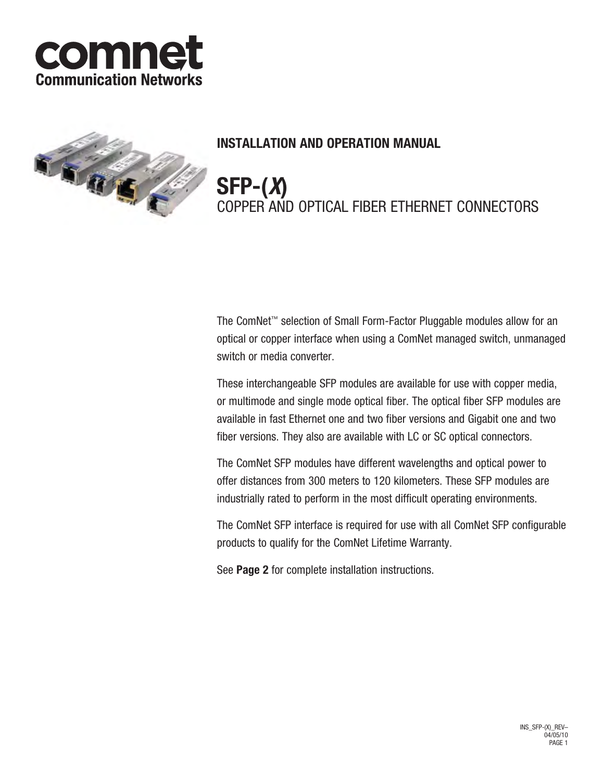



## **INSTALLATION AND OPERATION MANUAL**

**SFP-(***X***)** COPPER AND OPTICAL FIBER ETHERNET CONNECTORS

The ComNet™ selection of Small Form-Factor Pluggable modules allow for an optical or copper interface when using a ComNet managed switch, unmanaged switch or media converter.

These interchangeable SFP modules are available for use with copper media, or multimode and single mode optical fiber. The optical fiber SFP modules are available in fast Ethernet one and two fiber versions and Gigabit one and two fiber versions. They also are available with LC or SC optical connectors.

The ComNet SFP modules have different wavelengths and optical power to offer distances from 300 meters to 120 kilometers. These SFP modules are industrially rated to perform in the most difficult operating environments.

The ComNet SFP interface is required for use with all ComNet SFP configurable products to qualify for the ComNet Lifetime Warranty.

See **Page 2** for complete installation instructions.